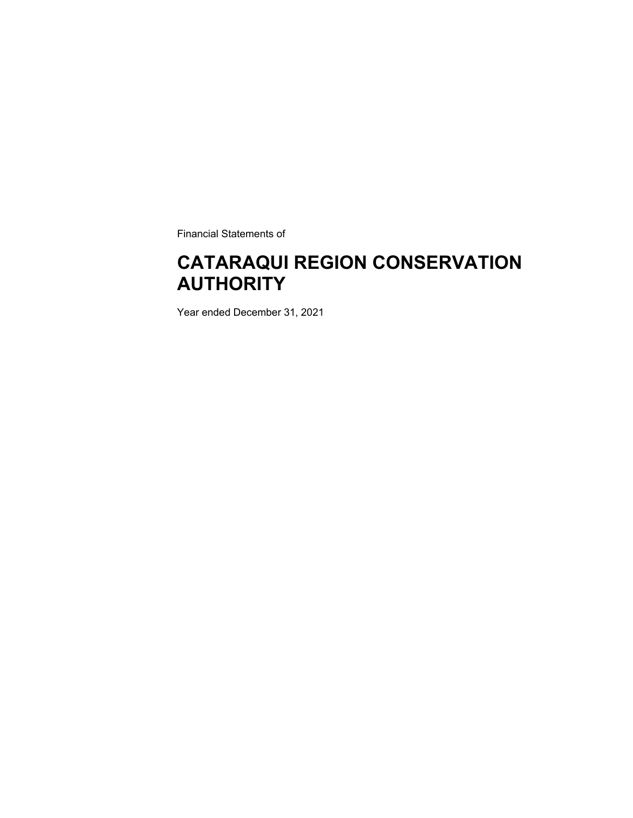Financial Statements of

## **CATARAQUI REGION CONSERVATION AUTHORITY**

Year ended December 31, 2021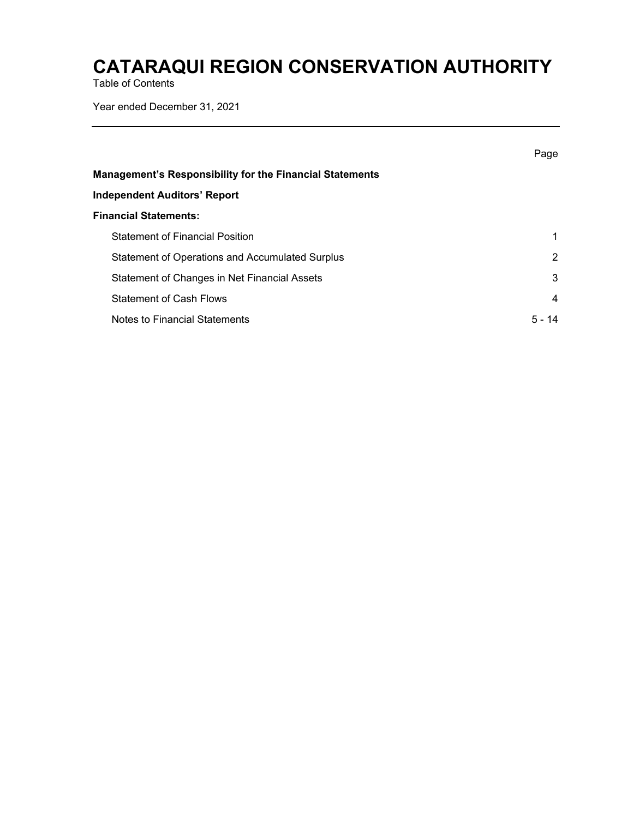Table of Contents

Year ended December 31, 2021

|                                                                 | Page     |
|-----------------------------------------------------------------|----------|
| <b>Management's Responsibility for the Financial Statements</b> |          |
| <b>Independent Auditors' Report</b>                             |          |
| <b>Financial Statements:</b>                                    |          |
| <b>Statement of Financial Position</b>                          |          |
| <b>Statement of Operations and Accumulated Surplus</b>          | 2        |
| Statement of Changes in Net Financial Assets                    | 3        |
| <b>Statement of Cash Flows</b>                                  | 4        |
| Notes to Financial Statements                                   | $5 - 14$ |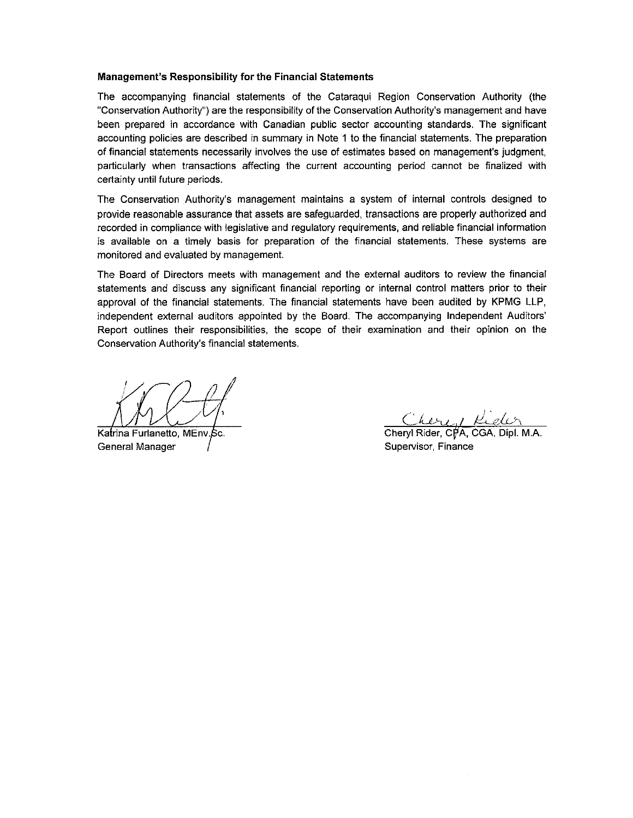#### Management's Responsibility for the Financial Statements

The accompanying financial statements of the Cataraqui Region Conservation Authority (the "Conservation Authority") are the responsibility of the Conservation Authority's management and have been prepared in accordance with Canadian public sector accounting standards. The significant accounting policies are described in summary in Note 1 to the financial statements. The preparation of financial statements necessarily involves the use of estimates based on management's judgment, particularly when transactions affecting the current accounting period cannot be finalized with certainty until future periods.

The Conservation Authority's management maintains a system of internal controls designed to provide reasonable assurance that assets are safeguarded, transactions are properly authorized and recorded in compliance with legislative and regulatory requirements, and reliable financial information is available on a timely basis for preparation of the financial statements. These systems are monitored and evaluated by management.

The Board of Directors meets with management and the external auditors to review the financial statements and discuss any significant financial reporting or internal control matters prior to their approval of the financial statements. The financial statements have been audited by KPMG LLP, independent external auditors appointed by the Board. The accompanying Independent Auditors' Report outlines their responsibilities, the scope of their examination and their opinion on the Conservation Authority's financial statements.

Katrina Furlanetto, MEnv.Sc. **General Manager** 

Cheryl Rider, CPA, CGA, Dipl. M.A. Supervisor, Finance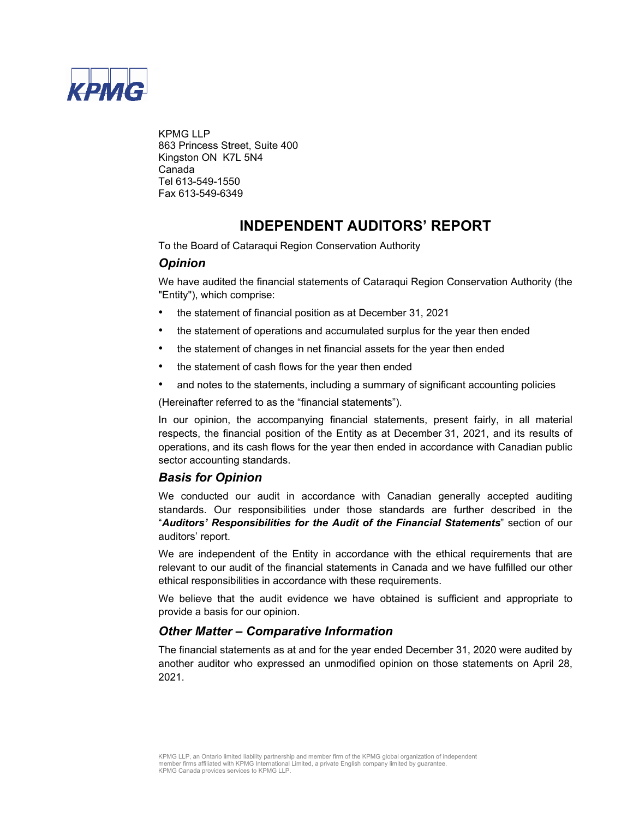

KPMG LLP 863 Princess Street, Suite 400 Kingston ON K7L 5N4 Canada Tel 613-549-1550 Fax 613-549-6349

### **INDEPENDENT AUDITORS' REPORT**

To the Board of Cataraqui Region Conservation Authority

### *Opinion*

We have audited the financial statements of Cataraqui Region Conservation Authority (the "Entity"), which comprise:

- the statement of financial position as at December 31, 2021
- the statement of operations and accumulated surplus for the year then ended
- the statement of changes in net financial assets for the year then ended
- the statement of cash flows for the year then ended
- and notes to the statements, including a summary of significant accounting policies

(Hereinafter referred to as the "financial statements").

In our opinion, the accompanying financial statements, present fairly, in all material respects, the financial position of the Entity as at December 31, 2021, and its results of operations, and its cash flows for the year then ended in accordance with Canadian public sector accounting standards.

### *Basis for Opinion*

We conducted our audit in accordance with Canadian generally accepted auditing standards. Our responsibilities under those standards are further described in the "*Auditors' Responsibilities for the Audit of the Financial Statements*" section of our auditors' report.

We are independent of the Entity in accordance with the ethical requirements that are relevant to our audit of the financial statements in Canada and we have fulfilled our other ethical responsibilities in accordance with these requirements.

We believe that the audit evidence we have obtained is sufficient and appropriate to provide a basis for our opinion.

### *Other Matter – Comparative Information*

The financial statements as at and for the year ended December 31, 2020 were audited by another auditor who expressed an unmodified opinion on those statements on April 28, 2021.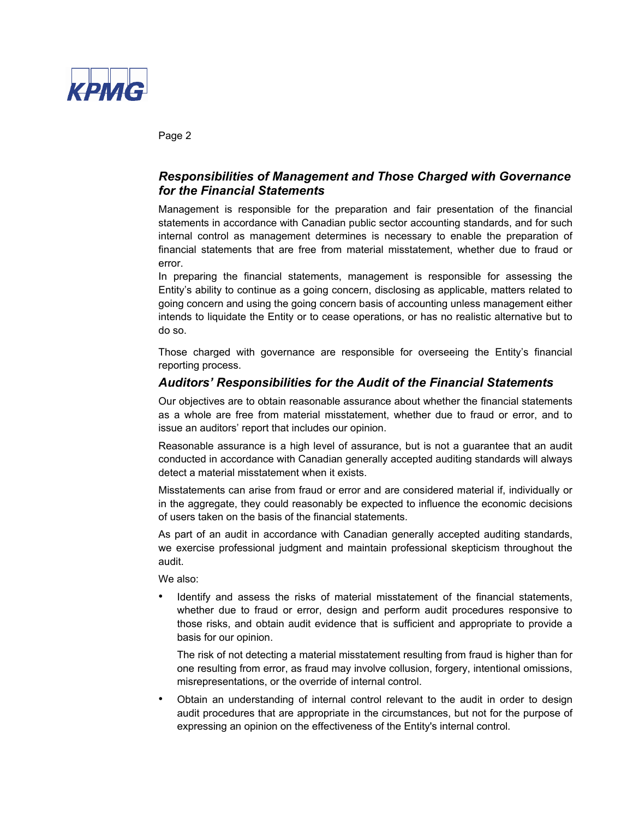

Page 2

### *Responsibilities of Management and Those Charged with Governance for the Financial Statements*

Management is responsible for the preparation and fair presentation of the financial statements in accordance with Canadian public sector accounting standards, and for such internal control as management determines is necessary to enable the preparation of financial statements that are free from material misstatement, whether due to fraud or error.

In preparing the financial statements, management is responsible for assessing the Entity's ability to continue as a going concern, disclosing as applicable, matters related to going concern and using the going concern basis of accounting unless management either intends to liquidate the Entity or to cease operations, or has no realistic alternative but to do so.

Those charged with governance are responsible for overseeing the Entity's financial reporting process.

### *Auditors' Responsibilities for the Audit of the Financial Statements*

Our objectives are to obtain reasonable assurance about whether the financial statements as a whole are free from material misstatement, whether due to fraud or error, and to issue an auditors' report that includes our opinion.

Reasonable assurance is a high level of assurance, but is not a guarantee that an audit conducted in accordance with Canadian generally accepted auditing standards will always detect a material misstatement when it exists.

Misstatements can arise from fraud or error and are considered material if, individually or in the aggregate, they could reasonably be expected to influence the economic decisions of users taken on the basis of the financial statements.

As part of an audit in accordance with Canadian generally accepted auditing standards, we exercise professional judgment and maintain professional skepticism throughout the audit.

We also:

• Identify and assess the risks of material misstatement of the financial statements, whether due to fraud or error, design and perform audit procedures responsive to those risks, and obtain audit evidence that is sufficient and appropriate to provide a basis for our opinion.

The risk of not detecting a material misstatement resulting from fraud is higher than for one resulting from error, as fraud may involve collusion, forgery, intentional omissions, misrepresentations, or the override of internal control.

• Obtain an understanding of internal control relevant to the audit in order to design audit procedures that are appropriate in the circumstances, but not for the purpose of expressing an opinion on the effectiveness of the Entity's internal control.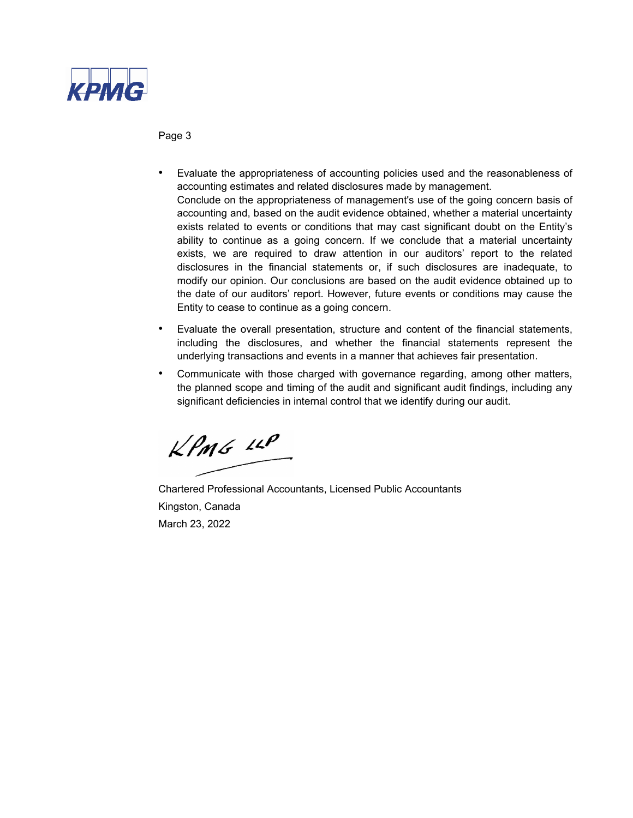

Page 3

- Evaluate the appropriateness of accounting policies used and the reasonableness of accounting estimates and related disclosures made by management. Conclude on the appropriateness of management's use of the going concern basis of accounting and, based on the audit evidence obtained, whether a material uncertainty exists related to events or conditions that may cast significant doubt on the Entity's ability to continue as a going concern. If we conclude that a material uncertainty exists, we are required to draw attention in our auditors' report to the related disclosures in the financial statements or, if such disclosures are inadequate, to modify our opinion. Our conclusions are based on the audit evidence obtained up to the date of our auditors' report. However, future events or conditions may cause the Entity to cease to continue as a going concern.
- Evaluate the overall presentation, structure and content of the financial statements, including the disclosures, and whether the financial statements represent the underlying transactions and events in a manner that achieves fair presentation.
- Communicate with those charged with governance regarding, among other matters, the planned scope and timing of the audit and significant audit findings, including any significant deficiencies in internal control that we identify during our audit.

 $kPMS$  11P

Chartered Professional Accountants, Licensed Public Accountants Kingston, Canada March 23, 2022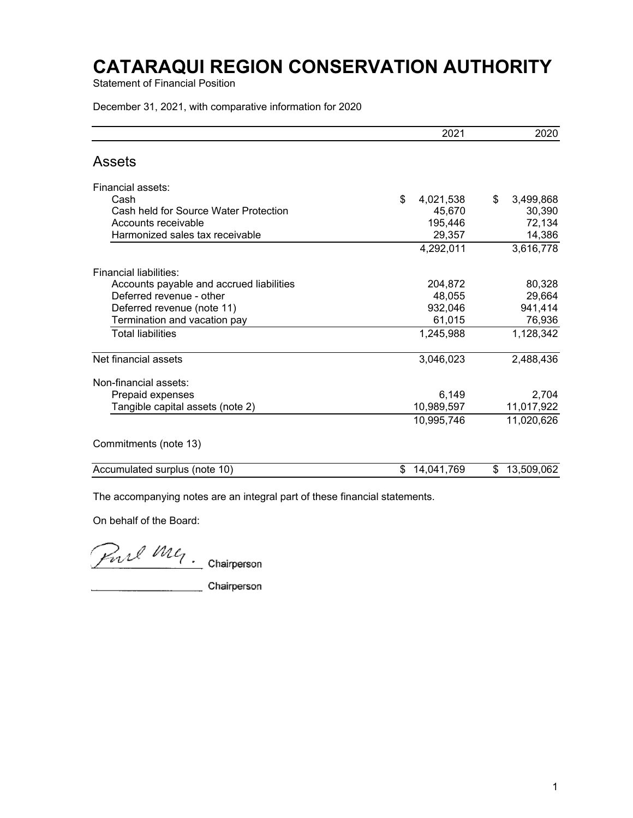Statement of Financial Position

December 31, 2021, with comparative information for 2020

|                                          | 2021             | 2020             |
|------------------------------------------|------------------|------------------|
| <b>Assets</b>                            |                  |                  |
| Financial assets:                        |                  |                  |
| Cash                                     | \$<br>4,021,538  | \$<br>3,499,868  |
| Cash held for Source Water Protection    | 45,670           | 30,390           |
| Accounts receivable                      | 195,446          | 72,134           |
| Harmonized sales tax receivable          | 29,357           | 14,386           |
|                                          | 4,292,011        | 3,616,778        |
| Financial liabilities:                   |                  |                  |
| Accounts payable and accrued liabilities | 204.872          | 80,328           |
| Deferred revenue - other                 | 48,055           | 29,664           |
| Deferred revenue (note 11)               | 932,046          | 941,414          |
| Termination and vacation pay             | 61,015           | 76,936           |
| <b>Total liabilities</b>                 | 1,245,988        | 1,128,342        |
| Net financial assets                     | 3,046,023        | 2,488,436        |
| Non-financial assets:                    |                  |                  |
| Prepaid expenses                         | 6,149            | 2,704            |
| Tangible capital assets (note 2)         | 10,989,597       | 11,017,922       |
|                                          | 10,995,746       | 11,020,626       |
| Commitments (note 13)                    |                  |                  |
| Accumulated surplus (note 10)            | 14,041,769<br>\$ | 13,509,062<br>\$ |

The accompanying notes are an integral part of these financial statements.

On behalf of the Board:

Pull Mlg. Chairperson

Chairperson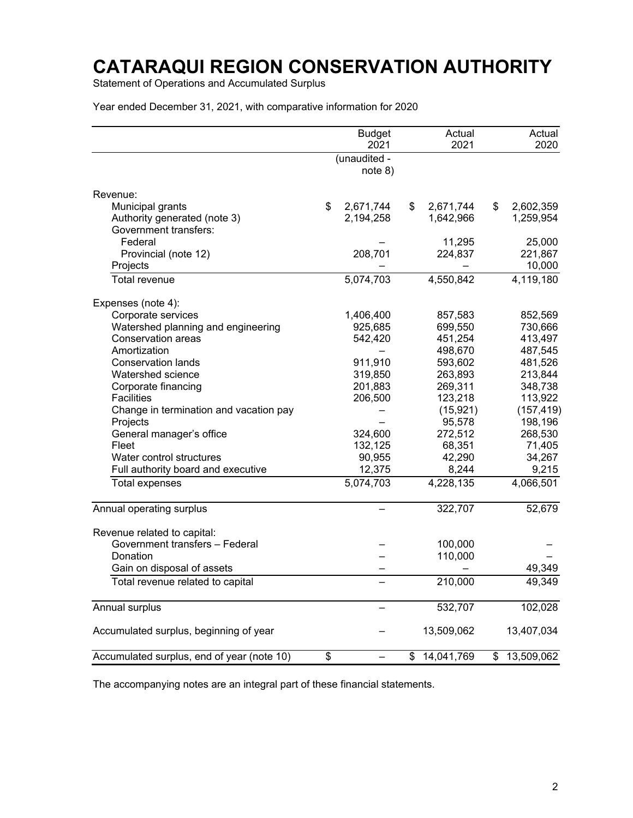Statement of Operations and Accumulated Surplus

Year ended December 31, 2021, with comparative information for 2020

|                                            | <b>Budget</b><br>2021   | Actual<br>2021   | Actual<br>2020   |
|--------------------------------------------|-------------------------|------------------|------------------|
|                                            | (unaudited -<br>note 8) |                  |                  |
| Revenue:                                   |                         |                  |                  |
| Municipal grants                           | \$<br>2,671,744         | \$<br>2,671,744  | \$<br>2,602,359  |
| Authority generated (note 3)               | 2,194,258               | 1,642,966        | 1,259,954        |
| Government transfers:                      |                         |                  |                  |
| Federal                                    |                         | 11,295           | 25,000           |
| Provincial (note 12)                       | 208,701                 | 224,837          | 221,867          |
| Projects                                   |                         |                  | 10,000           |
| <b>Total revenue</b>                       | 5,074,703               | 4,550,842        | 4,119,180        |
| Expenses (note 4):                         |                         |                  |                  |
| Corporate services                         | 1,406,400               | 857,583          | 852,569          |
| Watershed planning and engineering         | 925,685                 | 699,550          | 730,666          |
| Conservation areas                         | 542,420                 | 451,254          | 413,497          |
| Amortization                               |                         | 498,670          | 487,545          |
| <b>Conservation lands</b>                  | 911,910                 | 593,602          | 481,526          |
| Watershed science                          | 319,850                 | 263,893          | 213,844          |
| Corporate financing                        | 201,883                 | 269,311          | 348,738          |
| <b>Facilities</b>                          | 206,500                 | 123,218          | 113,922          |
| Change in termination and vacation pay     |                         | (15, 921)        | (157, 419)       |
| Projects                                   |                         | 95,578           | 198,196          |
| General manager's office                   | 324,600                 | 272,512          | 268,530          |
| Fleet                                      | 132,125                 | 68,351           | 71,405           |
| Water control structures                   | 90,955                  | 42,290           | 34,267           |
| Full authority board and executive         | 12,375                  | 8,244            | 9,215            |
| <b>Total expenses</b>                      | 5,074,703               | 4,228,135        | 4,066,501        |
| Annual operating surplus                   |                         | 322,707          | 52,679           |
| Revenue related to capital:                |                         |                  |                  |
| Government transfers - Federal             |                         | 100,000          |                  |
| Donation                                   |                         | 110,000          |                  |
| Gain on disposal of assets                 |                         |                  | 49,349           |
| Total revenue related to capital           |                         | 210,000          | 49,349           |
| Annual surplus                             |                         | 532,707          | 102,028          |
| Accumulated surplus, beginning of year     |                         | 13,509,062       | 13,407,034       |
| Accumulated surplus, end of year (note 10) | \$                      | \$<br>14,041,769 | \$<br>13,509,062 |

The accompanying notes are an integral part of these financial statements.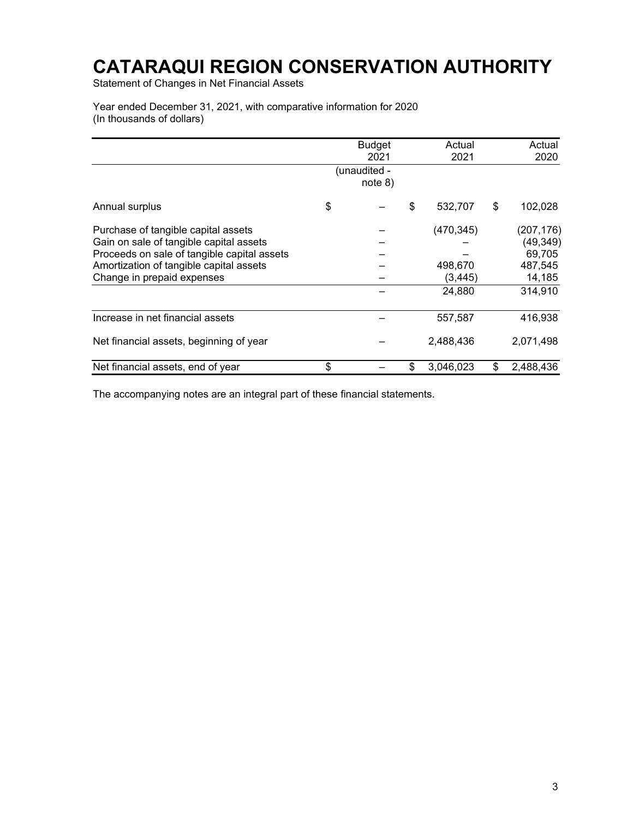Statement of Changes in Net Financial Assets

Year ended December 31, 2021, with comparative information for 2020 (In thousands of dollars)

|                                                                                                                                                                                                        | <b>Budget</b><br>Actual |                                 |    |                                             | Actual                                                           |  |  |
|--------------------------------------------------------------------------------------------------------------------------------------------------------------------------------------------------------|-------------------------|---------------------------------|----|---------------------------------------------|------------------------------------------------------------------|--|--|
|                                                                                                                                                                                                        |                         | 2021<br>(unaudited -<br>note 8) |    | 2021                                        | 2020                                                             |  |  |
| Annual surplus                                                                                                                                                                                         | \$                      |                                 | \$ | 532,707                                     | \$<br>102,028                                                    |  |  |
| Purchase of tangible capital assets<br>Gain on sale of tangible capital assets<br>Proceeds on sale of tangible capital assets<br>Amortization of tangible capital assets<br>Change in prepaid expenses |                         |                                 |    | (470, 345)<br>498,670<br>(3, 445)<br>24,880 | (207,176)<br>(49, 349)<br>69,705<br>487,545<br>14,185<br>314,910 |  |  |
| Increase in net financial assets                                                                                                                                                                       |                         |                                 |    | 557,587                                     | 416,938                                                          |  |  |
| Net financial assets, beginning of year                                                                                                                                                                |                         |                                 |    | 2,488,436                                   | 2,071,498                                                        |  |  |
| Net financial assets, end of year                                                                                                                                                                      | \$                      |                                 | \$ | 3,046,023                                   | \$<br>2,488,436                                                  |  |  |

The accompanying notes are an integral part of these financial statements.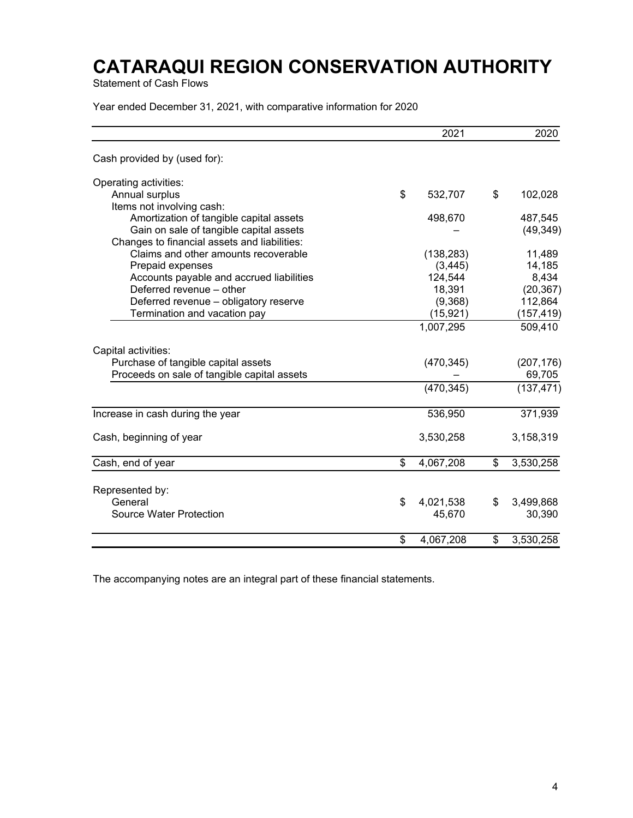Statement of Cash Flows

Year ended December 31, 2021, with comparative information for 2020

|                                              | 2021            | 2020            |  |
|----------------------------------------------|-----------------|-----------------|--|
| Cash provided by (used for):                 |                 |                 |  |
| Operating activities:                        |                 |                 |  |
| Annual surplus                               | \$<br>532,707   | \$<br>102,028   |  |
| Items not involving cash:                    |                 |                 |  |
| Amortization of tangible capital assets      | 498,670         | 487,545         |  |
| Gain on sale of tangible capital assets      |                 | (49, 349)       |  |
| Changes to financial assets and liabilities: |                 |                 |  |
| Claims and other amounts recoverable         | (138, 283)      | 11,489          |  |
| Prepaid expenses                             | (3, 445)        | 14,185          |  |
| Accounts payable and accrued liabilities     | 124,544         | 8,434           |  |
| Deferred revenue - other                     | 18,391          | (20, 367)       |  |
| Deferred revenue - obligatory reserve        | (9,368)         | 112,864         |  |
| Termination and vacation pay                 | (15, 921)       | (157, 419)      |  |
|                                              | 1,007,295       | 509,410         |  |
| Capital activities:                          |                 |                 |  |
| Purchase of tangible capital assets          | (470, 345)      | (207, 176)      |  |
| Proceeds on sale of tangible capital assets  |                 | 69,705          |  |
|                                              | (470, 345)      | (137, 471)      |  |
| Increase in cash during the year             | 536,950         | 371,939         |  |
| Cash, beginning of year                      | 3,530,258       | 3,158,319       |  |
|                                              |                 |                 |  |
| Cash, end of year                            | \$<br>4,067,208 | \$<br>3,530,258 |  |
| Represented by:                              |                 |                 |  |
| General                                      | \$<br>4,021,538 | \$<br>3,499,868 |  |
| <b>Source Water Protection</b>               | 45,670          | 30,390          |  |
|                                              | \$<br>4,067,208 | \$<br>3,530,258 |  |

The accompanying notes are an integral part of these financial statements.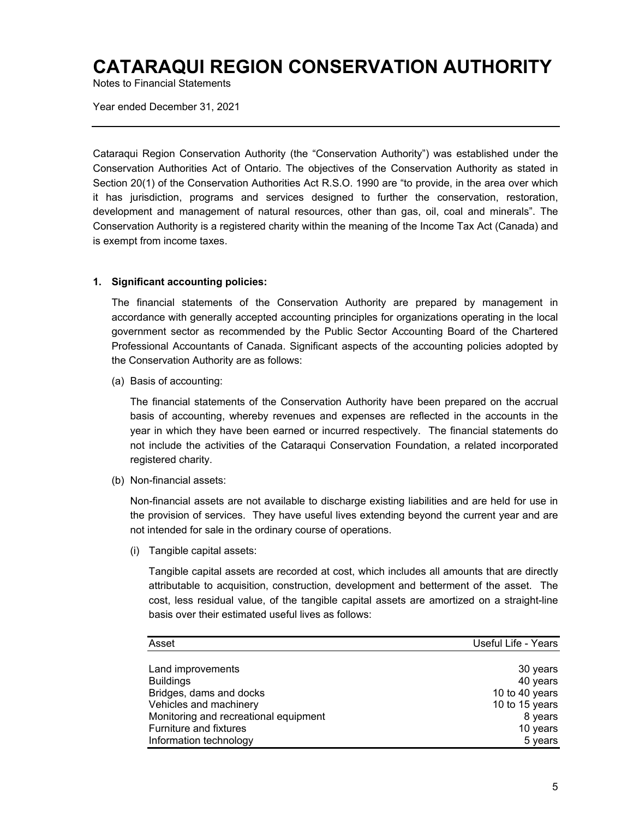Notes to Financial Statements

Year ended December 31, 2021

Cataraqui Region Conservation Authority (the "Conservation Authority") was established under the Conservation Authorities Act of Ontario. The objectives of the Conservation Authority as stated in Section 20(1) of the Conservation Authorities Act R.S.O. 1990 are "to provide, in the area over which it has jurisdiction, programs and services designed to further the conservation, restoration, development and management of natural resources, other than gas, oil, coal and minerals". The Conservation Authority is a registered charity within the meaning of the Income Tax Act (Canada) and is exempt from income taxes.

### **1. Significant accounting policies:**

The financial statements of the Conservation Authority are prepared by management in accordance with generally accepted accounting principles for organizations operating in the local government sector as recommended by the Public Sector Accounting Board of the Chartered Professional Accountants of Canada. Significant aspects of the accounting policies adopted by the Conservation Authority are as follows:

(a) Basis of accounting:

The financial statements of the Conservation Authority have been prepared on the accrual basis of accounting, whereby revenues and expenses are reflected in the accounts in the year in which they have been earned or incurred respectively. The financial statements do not include the activities of the Cataraqui Conservation Foundation, a related incorporated registered charity.

(b) Non-financial assets:

Non-financial assets are not available to discharge existing liabilities and are held for use in the provision of services. They have useful lives extending beyond the current year and are not intended for sale in the ordinary course of operations.

(i) Tangible capital assets:

Tangible capital assets are recorded at cost, which includes all amounts that are directly attributable to acquisition, construction, development and betterment of the asset. The cost, less residual value, of the tangible capital assets are amortized on a straight-line basis over their estimated useful lives as follows:

| Asset                                 | Useful Life - Years |
|---------------------------------------|---------------------|
|                                       |                     |
| Land improvements                     | 30 years            |
| <b>Buildings</b>                      | 40 years            |
| Bridges, dams and docks               | 10 to 40 years      |
| Vehicles and machinery                | 10 to 15 years      |
| Monitoring and recreational equipment | 8 years             |
| Furniture and fixtures                | 10 years            |
| Information technology                | 5 years             |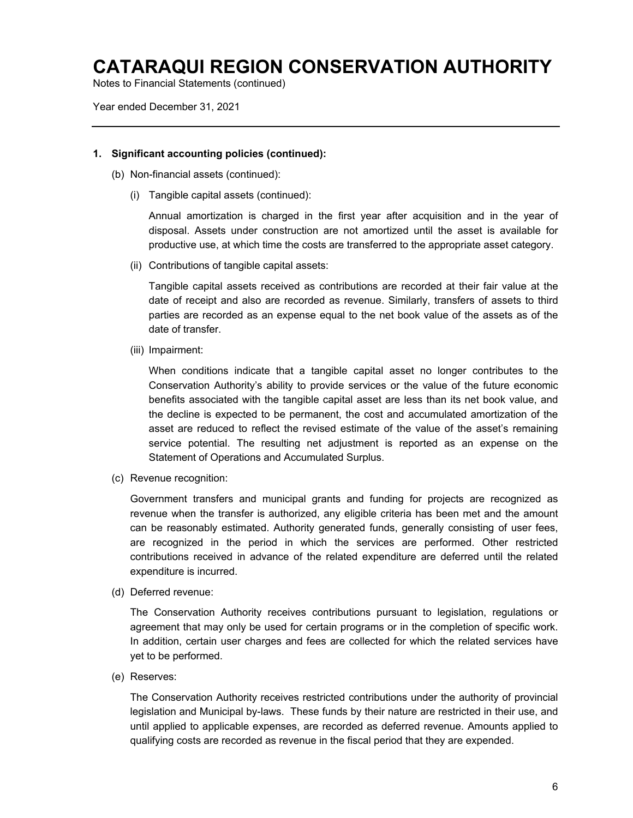Notes to Financial Statements (continued)

Year ended December 31, 2021

#### **1. Significant accounting policies (continued):**

- (b) Non-financial assets (continued):
	- (i) Tangible capital assets (continued):

Annual amortization is charged in the first year after acquisition and in the year of disposal. Assets under construction are not amortized until the asset is available for productive use, at which time the costs are transferred to the appropriate asset category.

(ii) Contributions of tangible capital assets:

Tangible capital assets received as contributions are recorded at their fair value at the date of receipt and also are recorded as revenue. Similarly, transfers of assets to third parties are recorded as an expense equal to the net book value of the assets as of the date of transfer.

(iii) Impairment:

When conditions indicate that a tangible capital asset no longer contributes to the Conservation Authority's ability to provide services or the value of the future economic benefits associated with the tangible capital asset are less than its net book value, and the decline is expected to be permanent, the cost and accumulated amortization of the asset are reduced to reflect the revised estimate of the value of the asset's remaining service potential. The resulting net adjustment is reported as an expense on the Statement of Operations and Accumulated Surplus.

(c) Revenue recognition:

Government transfers and municipal grants and funding for projects are recognized as revenue when the transfer is authorized, any eligible criteria has been met and the amount can be reasonably estimated. Authority generated funds, generally consisting of user fees, are recognized in the period in which the services are performed. Other restricted contributions received in advance of the related expenditure are deferred until the related expenditure is incurred.

(d) Deferred revenue:

The Conservation Authority receives contributions pursuant to legislation, regulations or agreement that may only be used for certain programs or in the completion of specific work. In addition, certain user charges and fees are collected for which the related services have yet to be performed.

(e) Reserves:

The Conservation Authority receives restricted contributions under the authority of provincial legislation and Municipal by-laws. These funds by their nature are restricted in their use, and until applied to applicable expenses, are recorded as deferred revenue. Amounts applied to qualifying costs are recorded as revenue in the fiscal period that they are expended.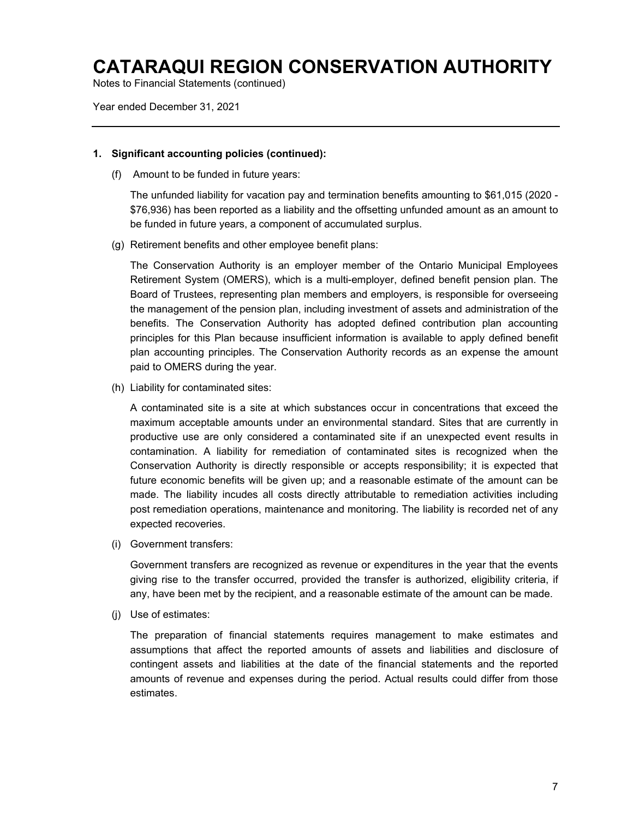Notes to Financial Statements (continued)

Year ended December 31, 2021

#### **1. Significant accounting policies (continued):**

(f) Amount to be funded in future years:

The unfunded liability for vacation pay and termination benefits amounting to \$61,015 (2020 - \$76,936) has been reported as a liability and the offsetting unfunded amount as an amount to be funded in future years, a component of accumulated surplus.

(g) Retirement benefits and other employee benefit plans:

The Conservation Authority is an employer member of the Ontario Municipal Employees Retirement System (OMERS), which is a multi-employer, defined benefit pension plan. The Board of Trustees, representing plan members and employers, is responsible for overseeing the management of the pension plan, including investment of assets and administration of the benefits. The Conservation Authority has adopted defined contribution plan accounting principles for this Plan because insufficient information is available to apply defined benefit plan accounting principles. The Conservation Authority records as an expense the amount paid to OMERS during the year.

(h) Liability for contaminated sites:

A contaminated site is a site at which substances occur in concentrations that exceed the maximum acceptable amounts under an environmental standard. Sites that are currently in productive use are only considered a contaminated site if an unexpected event results in contamination. A liability for remediation of contaminated sites is recognized when the Conservation Authority is directly responsible or accepts responsibility; it is expected that future economic benefits will be given up; and a reasonable estimate of the amount can be made. The liability incudes all costs directly attributable to remediation activities including post remediation operations, maintenance and monitoring. The liability is recorded net of any expected recoveries.

(i) Government transfers:

Government transfers are recognized as revenue or expenditures in the year that the events giving rise to the transfer occurred, provided the transfer is authorized, eligibility criteria, if any, have been met by the recipient, and a reasonable estimate of the amount can be made.

(j) Use of estimates:

The preparation of financial statements requires management to make estimates and assumptions that affect the reported amounts of assets and liabilities and disclosure of contingent assets and liabilities at the date of the financial statements and the reported amounts of revenue and expenses during the period. Actual results could differ from those estimates.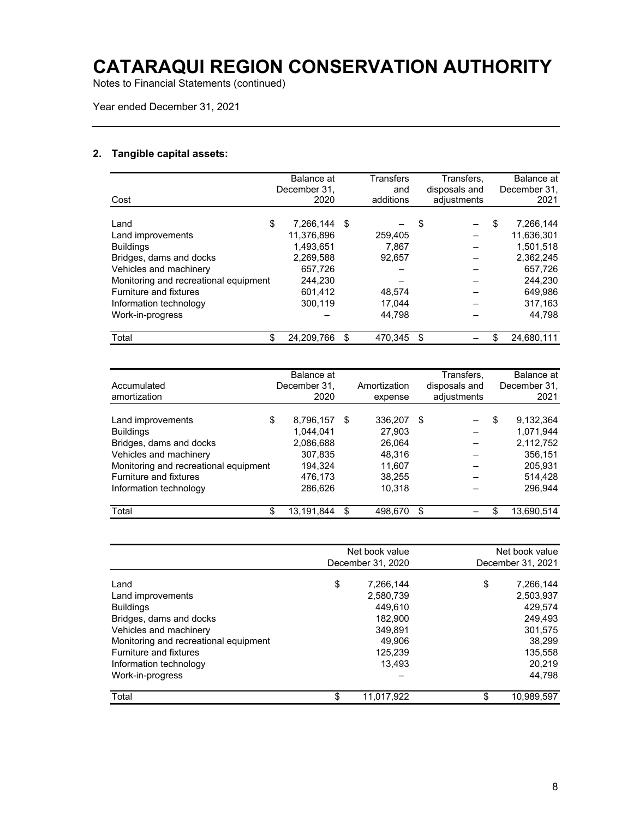Notes to Financial Statements (continued)

Year ended December 31, 2021

### **2. Tangible capital assets:**

| Cost                                  | Balance at<br>December 31,<br>2020 |      | <b>Transfers</b><br>and<br>additions | Transfers.<br>disposals and<br>adjustments | Balance at<br>December 31.<br>2021 |
|---------------------------------------|------------------------------------|------|--------------------------------------|--------------------------------------------|------------------------------------|
|                                       |                                    |      |                                      |                                            |                                    |
| Land                                  | \$<br>7.266.144                    | - \$ |                                      | \$                                         | \$<br>7.266.144                    |
| Land improvements                     | 11,376,896                         |      | 259.405                              |                                            | 11,636,301                         |
| <b>Buildings</b>                      | 1.493.651                          |      | 7.867                                |                                            | 1,501,518                          |
| Bridges, dams and docks               | 2,269,588                          |      | 92,657                               |                                            | 2,362,245                          |
| Vehicles and machinery                | 657.726                            |      |                                      |                                            | 657,726                            |
| Monitoring and recreational equipment | 244.230                            |      |                                      |                                            | 244.230                            |
| Furniture and fixtures                | 601,412                            |      | 48.574                               |                                            | 649,986                            |
| Information technology                | 300.119                            |      | 17.044                               |                                            | 317.163                            |
| Work-in-progress                      |                                    |      | 44,798                               |                                            | 44.798                             |
| Total                                 | \$<br>24.209.766                   |      | 470.345                              | \$                                         | 24,680,111                         |

| Accumulated<br>amortization           | Balance at<br>December 31.<br>2020 | Amortization<br>expense | Transfers,<br>disposals and<br>adjustments | Balance at<br>December 31.<br>2021 |
|---------------------------------------|------------------------------------|-------------------------|--------------------------------------------|------------------------------------|
| Land improvements                     | \$<br>8.796.157                    | \$<br>336.207           | \$                                         | \$<br>9.132.364                    |
| <b>Buildings</b>                      | 1.044.041                          | 27,903                  |                                            | 1,071,944                          |
| Bridges, dams and docks               | 2,086,688                          | 26,064                  |                                            | 2,112,752                          |
| Vehicles and machinery                | 307,835                            | 48,316                  |                                            | 356,151                            |
| Monitoring and recreational equipment | 194.324                            | 11.607                  |                                            | 205.931                            |
| Furniture and fixtures                | 476,173                            | 38,255                  |                                            | 514,428                            |
| Information technology                | 286.626                            | 10.318                  |                                            | 296.944                            |
| Total                                 | \$<br>13,191,844                   | 498,670                 | \$                                         | 13,690,514                         |

|                                       | Net book value<br>December 31, 2020 | Net book value<br>December 31, 2021 |            |  |  |
|---------------------------------------|-------------------------------------|-------------------------------------|------------|--|--|
| Land                                  | \$<br>7.266.144                     | \$                                  | 7,266,144  |  |  |
| Land improvements                     | 2,580,739                           |                                     | 2,503,937  |  |  |
| <b>Buildings</b>                      | 449.610                             |                                     | 429.574    |  |  |
| Bridges, dams and docks               | 182,900                             |                                     | 249,493    |  |  |
| Vehicles and machinery                | 349.891                             |                                     | 301,575    |  |  |
| Monitoring and recreational equipment | 49,906                              |                                     | 38,299     |  |  |
| Furniture and fixtures                | 125,239                             |                                     | 135,558    |  |  |
| Information technology                | 13,493                              |                                     | 20.219     |  |  |
| Work-in-progress                      |                                     |                                     | 44,798     |  |  |
| Total                                 | \$<br>11,017,922                    | \$                                  | 10,989,597 |  |  |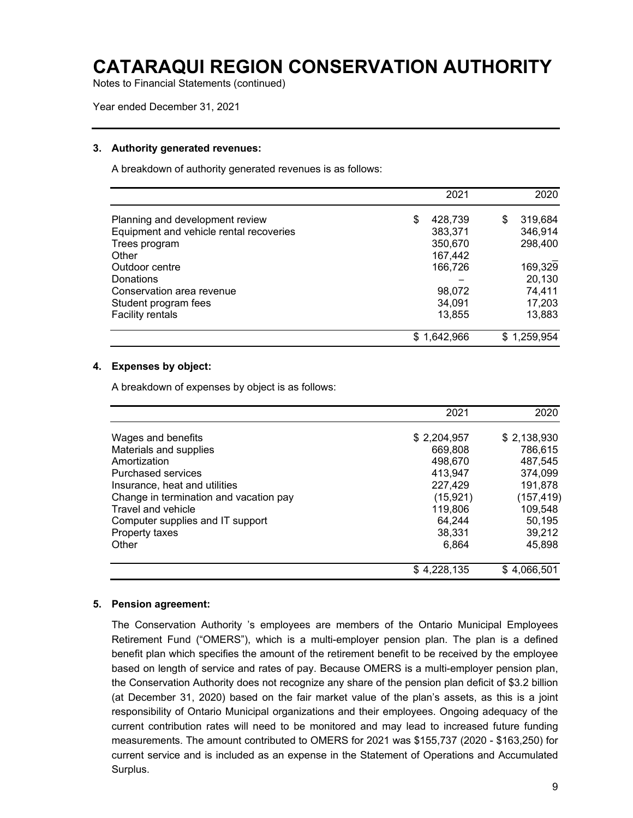Notes to Financial Statements (continued)

Year ended December 31, 2021

#### **3. Authority generated revenues:**

A breakdown of authority generated revenues is as follows:

|                                         | 2021             | 2020         |
|-----------------------------------------|------------------|--------------|
| Planning and development review         | 428,739<br>S     | 319,684<br>S |
| Equipment and vehicle rental recoveries | 383,371          | 346,914      |
| Trees program                           | 350,670          | 298,400      |
| Other                                   | 167,442          |              |
| Outdoor centre                          | 166,726          | 169,329      |
| Donations                               |                  | 20,130       |
| Conservation area revenue               | 98.072           | 74,411       |
| Student program fees                    | 34,091           | 17,203       |
| Facility rentals                        | 13,855           | 13,883       |
|                                         | 1,642,966<br>\$. | \$1,259,954  |

#### **4. Expenses by object:**

A breakdown of expenses by object is as follows:

|                                        | 2021        | 2020        |
|----------------------------------------|-------------|-------------|
| Wages and benefits                     | \$2,204,957 | \$2,138,930 |
| Materials and supplies                 | 669,808     | 786,615     |
| Amortization                           | 498.670     | 487.545     |
| Purchased services                     | 413,947     | 374,099     |
| Insurance, heat and utilities          | 227,429     | 191,878     |
| Change in termination and vacation pay | (15, 921)   | (157, 419)  |
| Travel and vehicle                     | 119,806     | 109,548     |
| Computer supplies and IT support       | 64,244      | 50,195      |
| Property taxes                         | 38,331      | 39,212      |
| Other                                  | 6,864       | 45,898      |
|                                        | \$4,228,135 | \$4,066,501 |

#### **5. Pension agreement:**

The Conservation Authority 's employees are members of the Ontario Municipal Employees Retirement Fund ("OMERS"), which is a multi-employer pension plan. The plan is a defined benefit plan which specifies the amount of the retirement benefit to be received by the employee based on length of service and rates of pay. Because OMERS is a multi-employer pension plan, the Conservation Authority does not recognize any share of the pension plan deficit of \$3.2 billion (at December 31, 2020) based on the fair market value of the plan's assets, as this is a joint responsibility of Ontario Municipal organizations and their employees. Ongoing adequacy of the current contribution rates will need to be monitored and may lead to increased future funding measurements. The amount contributed to OMERS for 2021 was \$155,737 (2020 - \$163,250) for current service and is included as an expense in the Statement of Operations and Accumulated Surplus.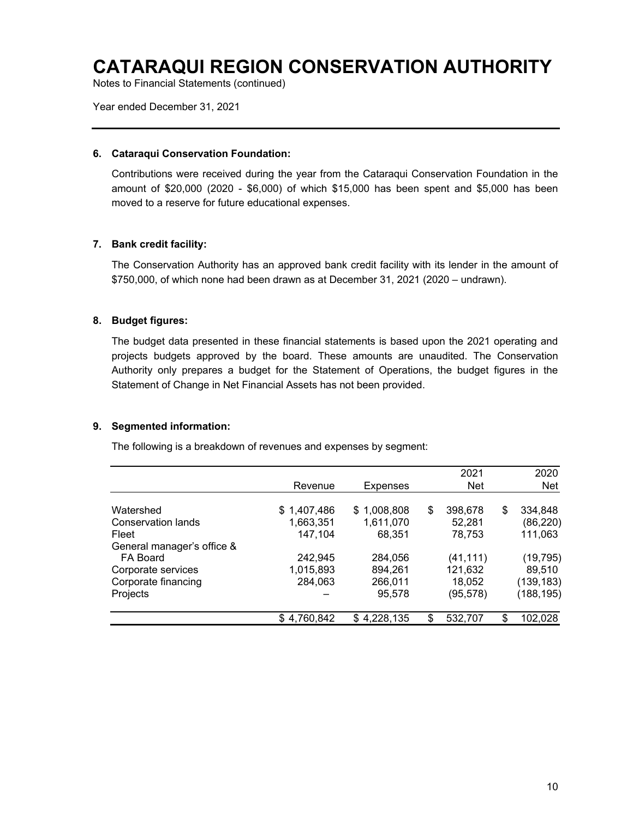Notes to Financial Statements (continued)

Year ended December 31, 2021

### **6. Cataraqui Conservation Foundation:**

Contributions were received during the year from the Cataraqui Conservation Foundation in the amount of \$20,000 (2020 - \$6,000) of which \$15,000 has been spent and \$5,000 has been moved to a reserve for future educational expenses.

#### **7. Bank credit facility:**

The Conservation Authority has an approved bank credit facility with its lender in the amount of \$750,000, of which none had been drawn as at December 31, 2021 (2020 – undrawn).

#### **8. Budget figures:**

The budget data presented in these financial statements is based upon the 2021 operating and projects budgets approved by the board. These amounts are unaudited. The Conservation Authority only prepares a budget for the Statement of Operations, the budget figures in the Statement of Change in Net Financial Assets has not been provided.

#### **9. Segmented information:**

The following is a breakdown of revenues and expenses by segment:

|                            |             |                  | 2021          | 2020          |
|----------------------------|-------------|------------------|---------------|---------------|
|                            | Revenue     | <b>Expenses</b>  | <b>Net</b>    | Net           |
|                            |             |                  |               |               |
| Watershed                  | \$1,407,486 | \$1,008,808      | \$<br>398,678 | \$<br>334,848 |
| Conservation lands         | 1,663,351   | 1,611,070        | 52,281        | (86, 220)     |
| Fleet                      | 147,104     | 68,351           | 78,753        | 111,063       |
| General manager's office & |             |                  |               |               |
| FA Board                   | 242.945     | 284,056          | (41, 111)     | (19,795)      |
| Corporate services         | 1,015,893   | 894,261          | 121,632       | 89,510        |
| Corporate financing        | 284,063     | 266,011          | 18,052        | (139, 183)    |
| Projects                   |             | 95,578           | (95, 578)     | (188, 195)    |
|                            | \$4,760,842 | 4,228,135<br>\$. | \$<br>532,707 | 102,028       |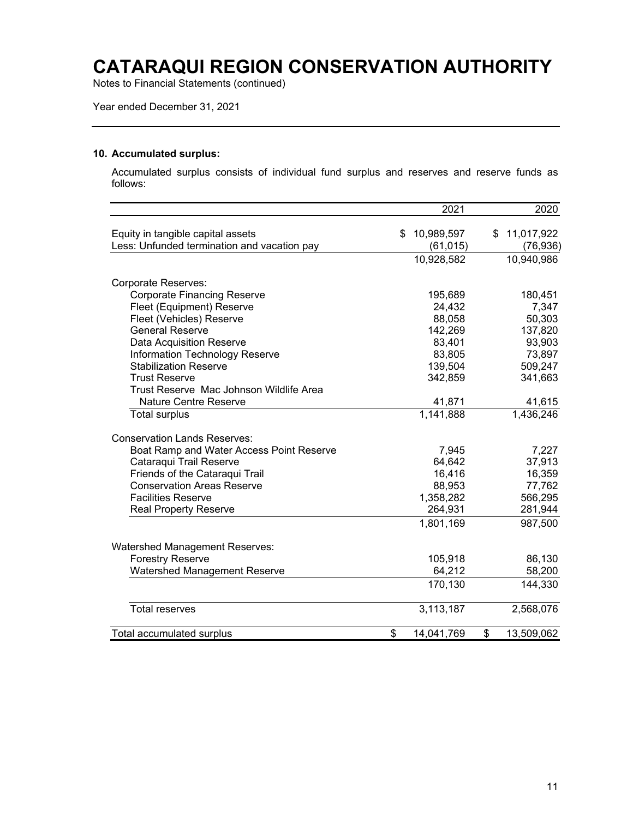Notes to Financial Statements (continued)

#### Year ended December 31, 2021

### **10. Accumulated surplus:**

Accumulated surplus consists of individual fund surplus and reserves and reserve funds as follows:

|                                             |     | 2021       | 2020             |
|---------------------------------------------|-----|------------|------------------|
|                                             |     |            |                  |
| Equity in tangible capital assets           | \$. | 10,989,597 | \$<br>11,017,922 |
| Less: Unfunded termination and vacation pay |     | (61, 015)  | (76, 936)        |
|                                             |     | 10,928,582 | 10,940,986       |
| <b>Corporate Reserves:</b>                  |     |            |                  |
| <b>Corporate Financing Reserve</b>          |     | 195,689    | 180,451          |
| Fleet (Equipment) Reserve                   |     | 24,432     | 7,347            |
| Fleet (Vehicles) Reserve                    |     | 88,058     | 50,303           |
| <b>General Reserve</b>                      |     | 142,269    | 137,820          |
| <b>Data Acquisition Reserve</b>             |     | 83,401     | 93,903           |
| Information Technology Reserve              |     | 83,805     | 73,897           |
| <b>Stabilization Reserve</b>                |     | 139,504    | 509,247          |
| <b>Trust Reserve</b>                        |     | 342,859    | 341,663          |
| Trust Reserve Mac Johnson Wildlife Area     |     |            |                  |
| <b>Nature Centre Reserve</b>                |     | 41,871     | 41,615           |
| <b>Total surplus</b>                        |     | 1,141,888  | 1,436,246        |
| <b>Conservation Lands Reserves:</b>         |     |            |                  |
| Boat Ramp and Water Access Point Reserve    |     | 7,945      | 7,227            |
| Cataraqui Trail Reserve                     |     | 64,642     | 37,913           |
| Friends of the Cataraqui Trail              |     | 16,416     | 16,359           |
| <b>Conservation Areas Reserve</b>           |     | 88,953     | 77,762           |
| <b>Facilities Reserve</b>                   |     | 1,358,282  | 566,295          |
| <b>Real Property Reserve</b>                |     | 264,931    | 281,944          |
|                                             |     | 1,801,169  | 987,500          |
|                                             |     |            |                  |
| Watershed Management Reserves:              |     |            |                  |
| <b>Forestry Reserve</b>                     |     | 105,918    | 86,130           |
| Watershed Management Reserve                |     | 64,212     | 58,200           |
|                                             |     | 170,130    | 144,330          |
| <b>Total reserves</b>                       |     | 3,113,187  | 2,568,076        |
| Total accumulated surplus                   | \$  | 14,041,769 | \$<br>13,509,062 |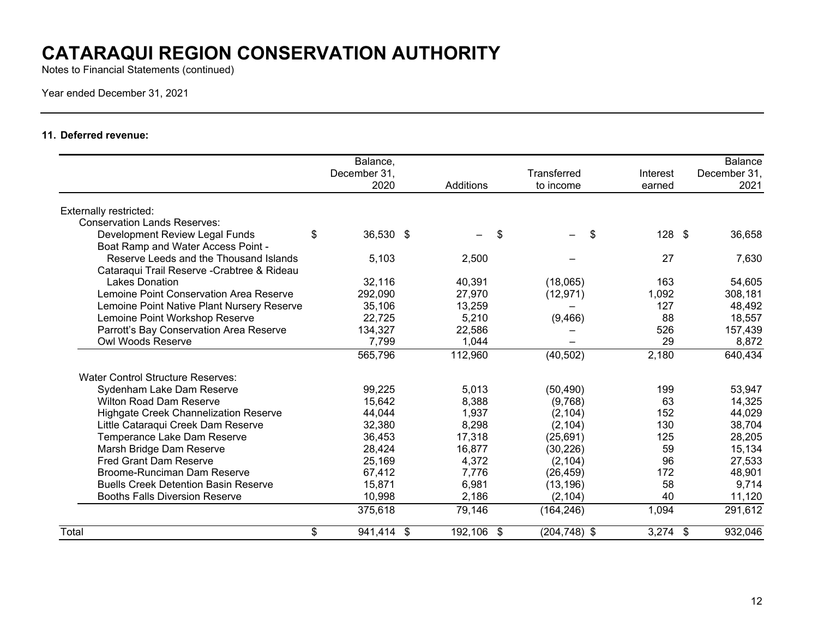Notes to Financial Statements (continued)

### Year ended December 31, 2021

#### **11. Deferred revenue:**

|                                              | Balance,<br>December 31, |                  | Transferred     |            | <b>Balance</b><br>December 31,<br>Interest |  |
|----------------------------------------------|--------------------------|------------------|-----------------|------------|--------------------------------------------|--|
|                                              | 2020                     | <b>Additions</b> | to income       | earned     | 2021                                       |  |
| Externally restricted:                       |                          |                  |                 |            |                                            |  |
| <b>Conservation Lands Reserves:</b>          |                          |                  |                 |            |                                            |  |
| Development Review Legal Funds<br>\$         | 36,530 \$                |                  | \$              | 128<br>\$  | -\$<br>36,658                              |  |
| Boat Ramp and Water Access Point -           |                          |                  |                 |            |                                            |  |
| Reserve Leeds and the Thousand Islands       | 5,103                    | 2,500            |                 | 27         | 7,630                                      |  |
| Cataraqui Trail Reserve - Crabtree & Rideau  |                          |                  |                 |            |                                            |  |
| <b>Lakes Donation</b>                        | 32,116                   | 40,391           | (18,065)        | 163        | 54,605                                     |  |
| Lemoine Point Conservation Area Reserve      | 292,090                  | 27,970           | (12, 971)       | 1,092      | 308,181                                    |  |
| Lemoine Point Native Plant Nursery Reserve   | 35,106                   | 13,259           |                 | 127        | 48,492                                     |  |
| Lemoine Point Workshop Reserve               | 22,725                   | 5,210            | (9,466)         | 88         | 18,557                                     |  |
| Parrott's Bay Conservation Area Reserve      | 134,327                  | 22,586           |                 | 526        | 157,439                                    |  |
| <b>Owl Woods Reserve</b>                     | 7,799                    | 1,044            |                 | 29         | 8,872                                      |  |
|                                              | 565,796                  | 112,960          | (40, 502)       | 2,180      | 640,434                                    |  |
| Water Control Structure Reserves:            |                          |                  |                 |            |                                            |  |
| Sydenham Lake Dam Reserve                    | 99,225                   | 5,013            | (50, 490)       | 199        | 53,947                                     |  |
| <b>Wilton Road Dam Reserve</b>               | 15,642                   | 8,388            | (9,768)         | 63         | 14,325                                     |  |
| <b>Highgate Creek Channelization Reserve</b> | 44,044                   | 1,937            | (2, 104)        | 152        | 44,029                                     |  |
| Little Cataraqui Creek Dam Reserve           | 32,380                   | 8,298            | (2, 104)        | 130        | 38,704                                     |  |
| Temperance Lake Dam Reserve                  | 36,453                   | 17,318           | (25, 691)       | 125        | 28,205                                     |  |
| Marsh Bridge Dam Reserve                     | 28,424                   | 16,877           | (30, 226)       | 59         | 15,134                                     |  |
| <b>Fred Grant Dam Reserve</b>                | 25,169                   | 4,372            | (2, 104)        | 96         | 27,533                                     |  |
| Broome-Runciman Dam Reserve                  | 67,412                   | 7,776            | (26, 459)       | 172        | 48,901                                     |  |
| <b>Buells Creek Detention Basin Reserve</b>  | 15,871                   | 6,981            | (13, 196)       | 58         | 9,714                                      |  |
| <b>Booths Falls Diversion Reserve</b>        | 10,998                   | 2,186            | (2, 104)        | 40         | 11,120                                     |  |
|                                              | 375,618                  | 79,146           | (164, 246)      | 1,094      | 291,612                                    |  |
| \$<br>Total                                  | 941,414 \$               | 192,106 \$       | $(204, 748)$ \$ | $3,274$ \$ | 932,046                                    |  |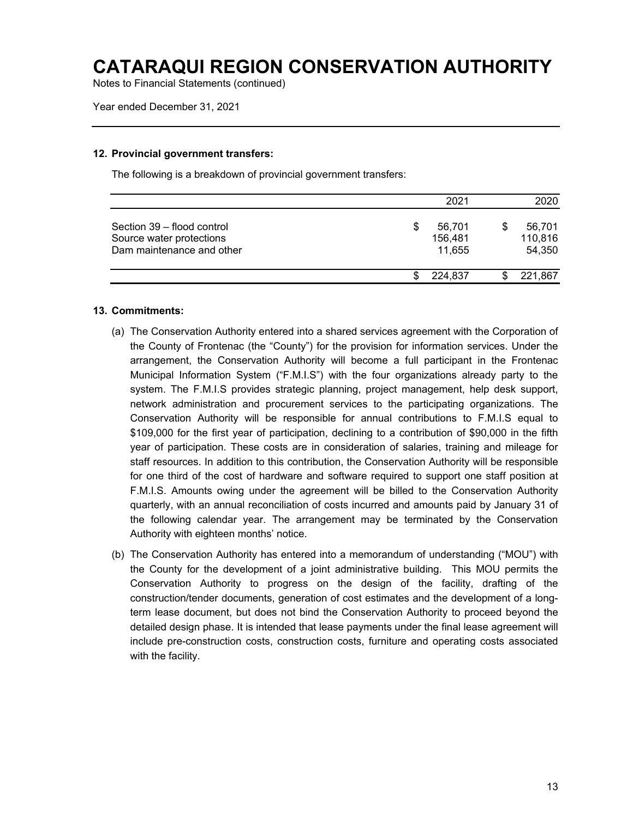Notes to Financial Statements (continued)

Year ended December 31, 2021

#### **12. Provincial government transfers:**

The following is a breakdown of provincial government transfers:

|                                                                                     |   | 2021                        | 2020                        |
|-------------------------------------------------------------------------------------|---|-----------------------------|-----------------------------|
| Section 39 – flood control<br>Source water protections<br>Dam maintenance and other | S | 56,701<br>156,481<br>11,655 | 56,701<br>110,816<br>54,350 |
|                                                                                     |   | 224.837                     | 221,867                     |

#### **13. Commitments:**

- (a) The Conservation Authority entered into a shared services agreement with the Corporation of the County of Frontenac (the "County") for the provision for information services. Under the arrangement, the Conservation Authority will become a full participant in the Frontenac Municipal Information System ("F.M.I.S") with the four organizations already party to the system. The F.M.I.S provides strategic planning, project management, help desk support, network administration and procurement services to the participating organizations. The Conservation Authority will be responsible for annual contributions to F.M.I.S equal to \$109,000 for the first year of participation, declining to a contribution of \$90,000 in the fifth year of participation. These costs are in consideration of salaries, training and mileage for staff resources. In addition to this contribution, the Conservation Authority will be responsible for one third of the cost of hardware and software required to support one staff position at F.M.I.S. Amounts owing under the agreement will be billed to the Conservation Authority quarterly, with an annual reconciliation of costs incurred and amounts paid by January 31 of the following calendar year. The arrangement may be terminated by the Conservation Authority with eighteen months' notice.
- (b) The Conservation Authority has entered into a memorandum of understanding ("MOU") with the County for the development of a joint administrative building. This MOU permits the Conservation Authority to progress on the design of the facility, drafting of the construction/tender documents, generation of cost estimates and the development of a longterm lease document, but does not bind the Conservation Authority to proceed beyond the detailed design phase. It is intended that lease payments under the final lease agreement will include pre-construction costs, construction costs, furniture and operating costs associated with the facility.